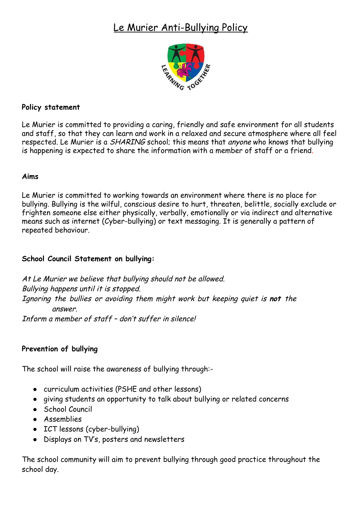# Le Murier Anti-Bullying Policy



## **Policy statement**

Le Murier is committed to providing a caring, friendly and safe environment for all students and staff, so that they can learn and work in a relaxed and secure atmosphere where all feel respected. Le Murier is a *SHARING* school; this means that *anyone* who knows that bullying is happening is expected to share the information with a member of staff or a friend.

### **Aims**

Le Murier is committed to working towards an environment where there is no place for bullying. Bullying is the wilful, conscious desire to hurt, threaten, belittle, socially exclude or frighten someone else either physically, verbally, emotionally or via indirect and alternative means such as internet (Cyber-bullying) or text messaging. It is generally a pattern of repeated behaviour.

## **School Council Statement on bullying:**

At Le Murier we believe that bullying should not be allowed. Bullying happens until it is stopped. Ignoring the bullies or avoiding them might work but keeping quiet is **not** the answer. Inform a member of staff – don't suffer in silence!

### **Prevention of bullying**

The school will raise the awareness of bullying through:-

- curriculum activities (PSHE and other lessons)
- giving students an opportunity to talk about bullying or related concerns
- School Council
- Assemblies
- ICT lessons (cyber-bullying)
- Displays on TV's, posters and newsletters

The school community will aim to prevent bullying through good practice throughout the school day.